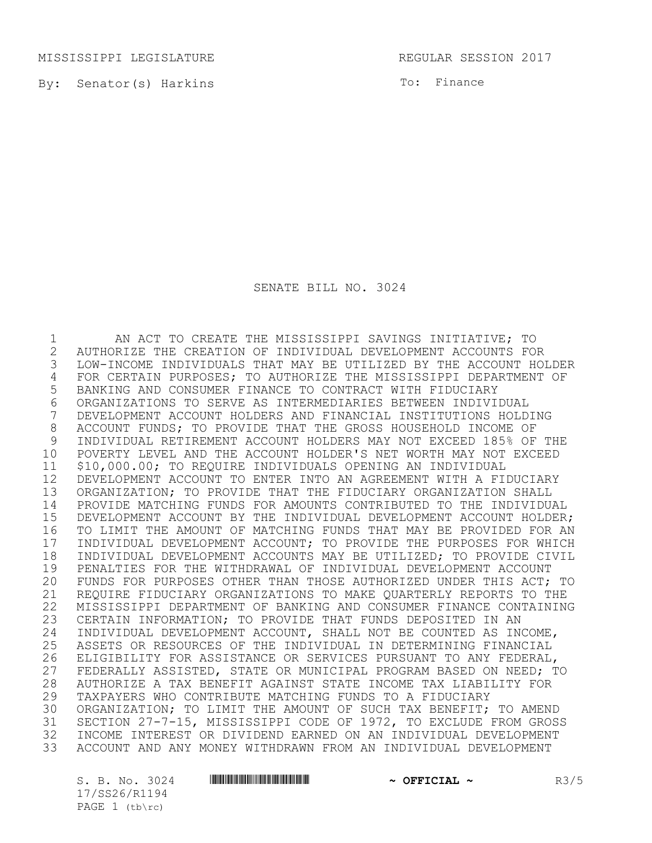MISSISSIPPI LEGISLATURE REGULAR SESSION 2017

By: Senator(s) Harkins

To: Finance

SENATE BILL NO. 3024

 AN ACT TO CREATE THE MISSISSIPPI SAVINGS INITIATIVE; TO AUTHORIZE THE CREATION OF INDIVIDUAL DEVELOPMENT ACCOUNTS FOR LOW-INCOME INDIVIDUALS THAT MAY BE UTILIZED BY THE ACCOUNT HOLDER FOR CERTAIN PURPOSES; TO AUTHORIZE THE MISSISSIPPI DEPARTMENT OF BANKING AND CONSUMER FINANCE TO CONTRACT WITH FIDUCIARY ORGANIZATIONS TO SERVE AS INTERMEDIARIES BETWEEN INDIVIDUAL DEVELOPMENT ACCOUNT HOLDERS AND FINANCIAL INSTITUTIONS HOLDING 8 ACCOUNT FUNDS; TO PROVIDE THAT THE GROSS HOUSEHOLD INCOME OF<br>9 INDIVIDUAL RETIREMENT ACCOUNT HOLDERS MAY NOT EXCEED 185% OF INDIVIDUAL RETIREMENT ACCOUNT HOLDERS MAY NOT EXCEED 185% OF THE POVERTY LEVEL AND THE ACCOUNT HOLDER'S NET WORTH MAY NOT EXCEED \$10,000.00; TO REQUIRE INDIVIDUALS OPENING AN INDIVIDUAL DEVELOPMENT ACCOUNT TO ENTER INTO AN AGREEMENT WITH A FIDUCIARY ORGANIZATION; TO PROVIDE THAT THE FIDUCIARY ORGANIZATION SHALL PROVIDE MATCHING FUNDS FOR AMOUNTS CONTRIBUTED TO THE INDIVIDUAL DEVELOPMENT ACCOUNT BY THE INDIVIDUAL DEVELOPMENT ACCOUNT HOLDER; TO LIMIT THE AMOUNT OF MATCHING FUNDS THAT MAY BE PROVIDED FOR AN 17 INDIVIDUAL DEVELOPMENT ACCOUNT; TO PROVIDE THE PURPOSES FOR WHICH<br>18 INDIVIDUAL DEVELOPMENT ACCOUNTS MAY BE UTILIZED; TO PROVIDE CIVIL 18 INDIVIDUAL DEVELOPMENT ACCOUNTS MAY BE UTILIZED; TO PROVIDE CIVIL<br>19 PENALTIES FOR THE WITHDRAWAL OF INDIVIDUAL DEVELOPMENT ACCOUNT 19 PENALTIES FOR THE WITHDRAWAL OF INDIVIDUAL DEVELOPMENT ACCOUNT<br>20 FUNDS FOR PURPOSES OTHER THAN THOSE AUTHORIZED UNDER THIS ACT; FUNDS FOR PURPOSES OTHER THAN THOSE AUTHORIZED UNDER THIS ACT; TO REQUIRE FIDUCIARY ORGANIZATIONS TO MAKE QUARTERLY REPORTS TO THE MISSISSIPPI DEPARTMENT OF BANKING AND CONSUMER FINANCE CONTAINING CERTAIN INFORMATION; TO PROVIDE THAT FUNDS DEPOSITED IN AN 24 INDIVIDUAL DEVELOPMENT ACCOUNT, SHALL NOT BE COUNTED AS INCOME,<br>25 ASSETS OR RESOURCES OF THE INDIVIDUAL IN DETERMINING FINANCIAL 25 ASSETS OR RESOURCES OF THE INDIVIDUAL IN DETERMINING FINANCIAL<br>26 ELIGIBILITY FOR ASSISTANCE OR SERVICES PURSUANT TO ANY FEDERAL. 26 ELIGIBILITY FOR ASSISTANCE OR SERVICES PURSUANT TO ANY FEDERAL,<br>27 FEDERALLY ASSISTED, STATE OR MUNICIPAL PROGRAM BASED ON NEED: T FEDERALLY ASSISTED, STATE OR MUNICIPAL PROGRAM BASED ON NEED; TO AUTHORIZE A TAX BENEFIT AGAINST STATE INCOME TAX LIABILITY FOR TAXPAYERS WHO CONTRIBUTE MATCHING FUNDS TO A FIDUCIARY ORGANIZATION; TO LIMIT THE AMOUNT OF SUCH TAX BENEFIT; TO AMEND SECTION 27-7-15, MISSISSIPPI CODE OF 1972, TO EXCLUDE FROM GROSS 32 INCOME INTEREST OR DIVIDEND EARNED ON AN INDIVIDUAL DEVELOPMENT<br>33 ACCOUNT AND ANY MONEY WITHDRAWN FROM AN INDIVIDUAL DEVELOPMENT ACCOUNT AND ANY MONEY WITHDRAWN FROM AN INDIVIDUAL DEVELOPMENT

17/SS26/R1194 PAGE  $1$  (tb\rc)

S. B. No. 3024 \*SS26/R1194\* **~ OFFICIAL ~** R3/5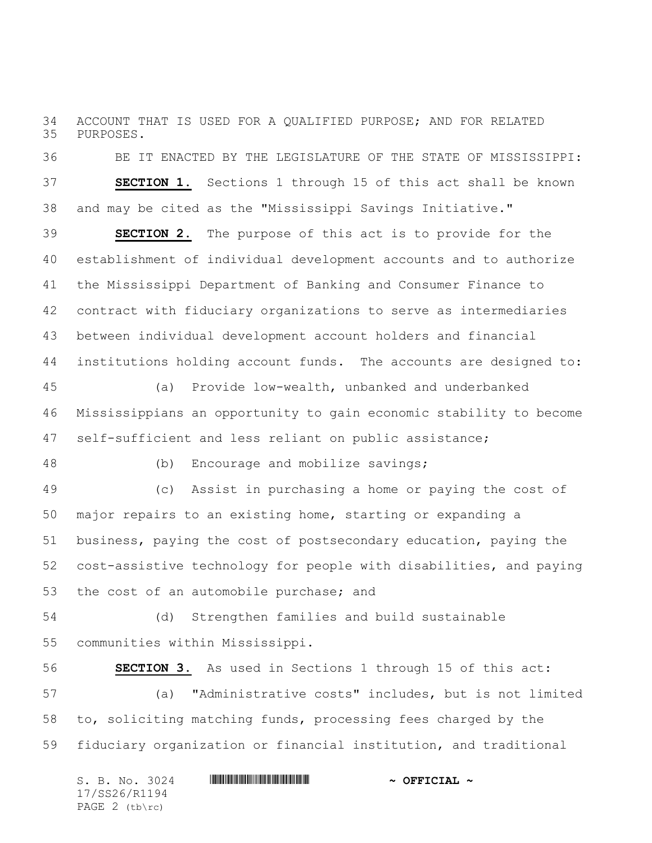ACCOUNT THAT IS USED FOR A QUALIFIED PURPOSE; AND FOR RELATED PURPOSES.

 BE IT ENACTED BY THE LEGISLATURE OF THE STATE OF MISSISSIPPI: **SECTION 1.** Sections 1 through 15 of this act shall be known and may be cited as the "Mississippi Savings Initiative."

 **SECTION 2.** The purpose of this act is to provide for the establishment of individual development accounts and to authorize the Mississippi Department of Banking and Consumer Finance to contract with fiduciary organizations to serve as intermediaries between individual development account holders and financial institutions holding account funds. The accounts are designed to:

 (a) Provide low-wealth, unbanked and underbanked Mississippians an opportunity to gain economic stability to become self-sufficient and less reliant on public assistance;

(b) Encourage and mobilize savings;

 (c) Assist in purchasing a home or paying the cost of major repairs to an existing home, starting or expanding a business, paying the cost of postsecondary education, paying the cost-assistive technology for people with disabilities, and paying the cost of an automobile purchase; and

 (d) Strengthen families and build sustainable communities within Mississippi.

 **SECTION 3.** As used in Sections 1 through 15 of this act: (a) "Administrative costs" includes, but is not limited to, soliciting matching funds, processing fees charged by the fiduciary organization or financial institution, and traditional

| S. B. No. 3024   | $\sim$ OFFICIAL $\sim$ |
|------------------|------------------------|
| 17/SS26/R1194    |                        |
| PAGE $2$ (tb\rc) |                        |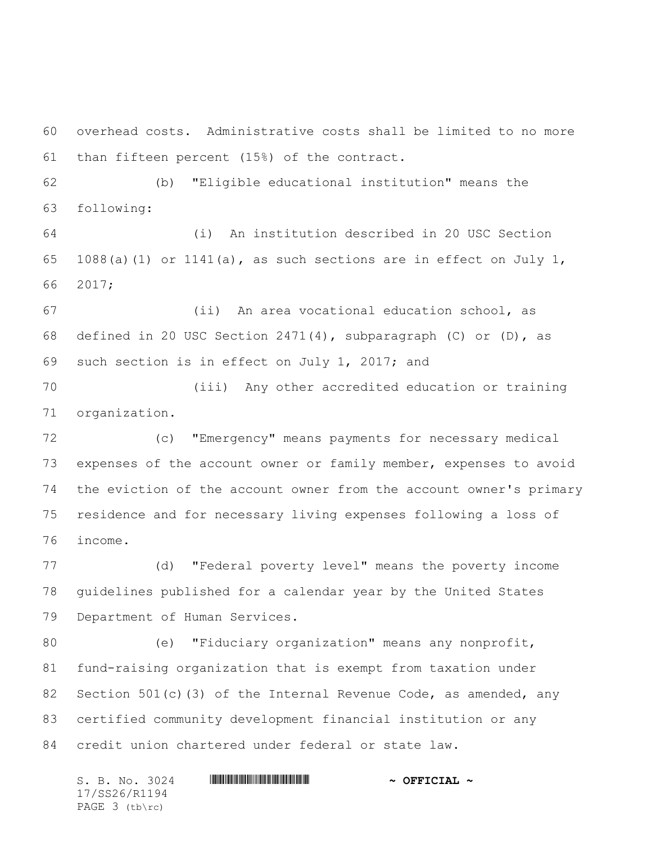overhead costs. Administrative costs shall be limited to no more than fifteen percent (15%) of the contract.

 (b) "Eligible educational institution" means the following:

 (i) An institution described in 20 USC Section 65 1088(a)(1) or 1141(a), as such sections are in effect on July 1, 2017;

 (ii) An area vocational education school, as 68 defined in 20 USC Section 2471(4), subparagraph (C) or (D), as such section is in effect on July 1, 2017; and

 (iii) Any other accredited education or training organization.

 (c) "Emergency" means payments for necessary medical expenses of the account owner or family member, expenses to avoid the eviction of the account owner from the account owner's primary residence and for necessary living expenses following a loss of income.

 (d) "Federal poverty level" means the poverty income guidelines published for a calendar year by the United States Department of Human Services.

 (e) "Fiduciary organization" means any nonprofit, fund-raising organization that is exempt from taxation under 82 Section 501(c)(3) of the Internal Revenue Code, as amended, any certified community development financial institution or any credit union chartered under federal or state law.

S. B. No. 3024 \*SS26/R1194\* **~ OFFICIAL ~** 17/SS26/R1194 PAGE 3 (tb\rc)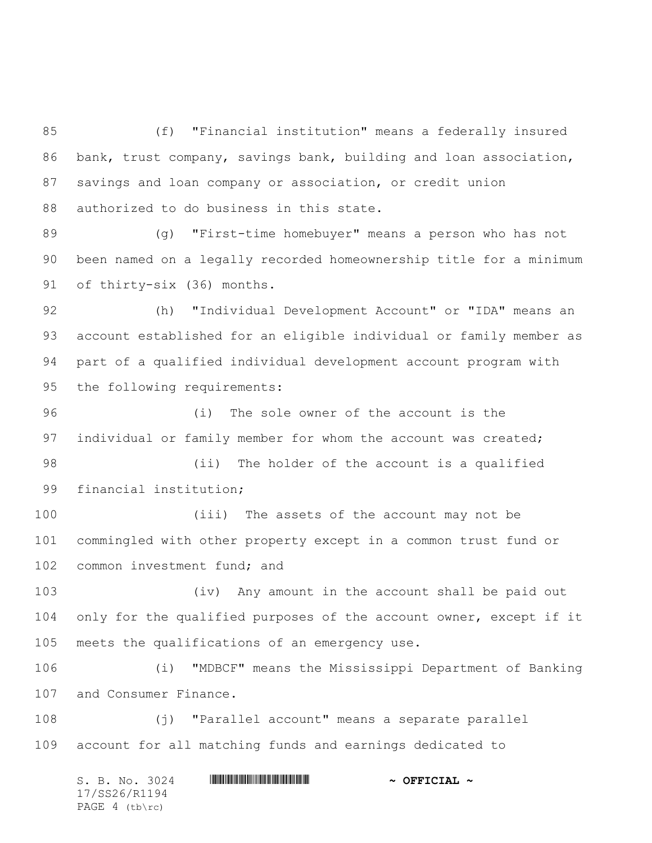(f) "Financial institution" means a federally insured bank, trust company, savings bank, building and loan association, savings and loan company or association, or credit union 88 authorized to do business in this state.

 (g) "First-time homebuyer" means a person who has not been named on a legally recorded homeownership title for a minimum of thirty-six (36) months.

 (h) "Individual Development Account" or "IDA" means an account established for an eligible individual or family member as part of a qualified individual development account program with the following requirements:

 (i) The sole owner of the account is the 97 individual or family member for whom the account was created;

 (ii) The holder of the account is a qualified financial institution;

 (iii) The assets of the account may not be commingled with other property except in a common trust fund or 102 common investment fund; and

 (iv) Any amount in the account shall be paid out only for the qualified purposes of the account owner, except if it meets the qualifications of an emergency use.

 (i) "MDBCF" means the Mississippi Department of Banking and Consumer Finance.

 (j) "Parallel account" means a separate parallel account for all matching funds and earnings dedicated to

S. B. No. 3024 \*SS26/R1194\* **~ OFFICIAL ~** 17/SS26/R1194 PAGE 4 (tb\rc)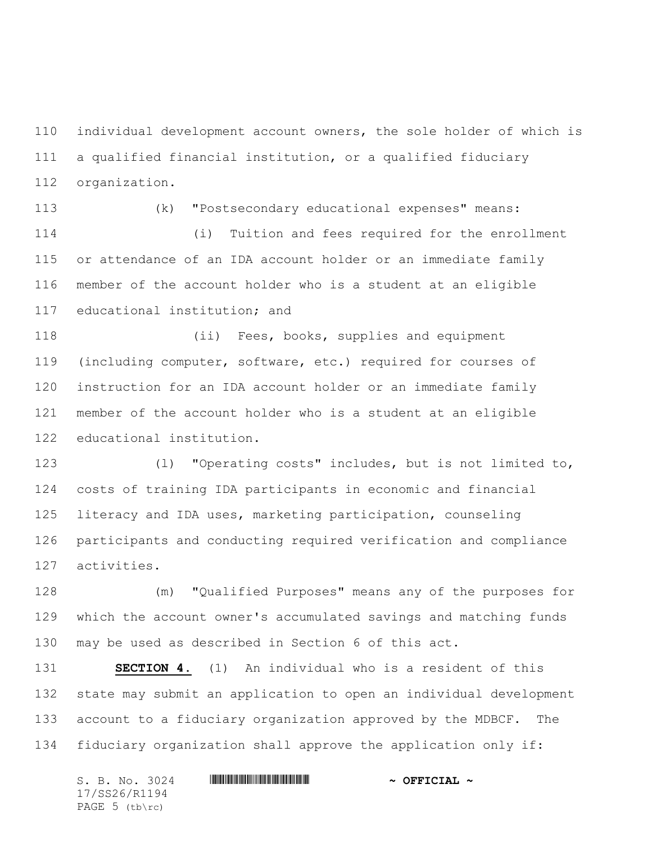individual development account owners, the sole holder of which is a qualified financial institution, or a qualified fiduciary organization.

 (k) "Postsecondary educational expenses" means: (i) Tuition and fees required for the enrollment or attendance of an IDA account holder or an immediate family

 member of the account holder who is a student at an eligible educational institution; and

 (ii) Fees, books, supplies and equipment (including computer, software, etc.) required for courses of instruction for an IDA account holder or an immediate family member of the account holder who is a student at an eligible educational institution.

 (l) "Operating costs" includes, but is not limited to, costs of training IDA participants in economic and financial literacy and IDA uses, marketing participation, counseling participants and conducting required verification and compliance activities.

 (m) "Qualified Purposes" means any of the purposes for which the account owner's accumulated savings and matching funds may be used as described in Section 6 of this act.

 **SECTION 4.** (1) An individual who is a resident of this state may submit an application to open an individual development account to a fiduciary organization approved by the MDBCF. The fiduciary organization shall approve the application only if:

| S. B. No. 3024   | $\sim$ OFFICIAL $\sim$ |
|------------------|------------------------|
| 17/SS26/R1194    |                        |
| PAGE $5$ (tb\rc) |                        |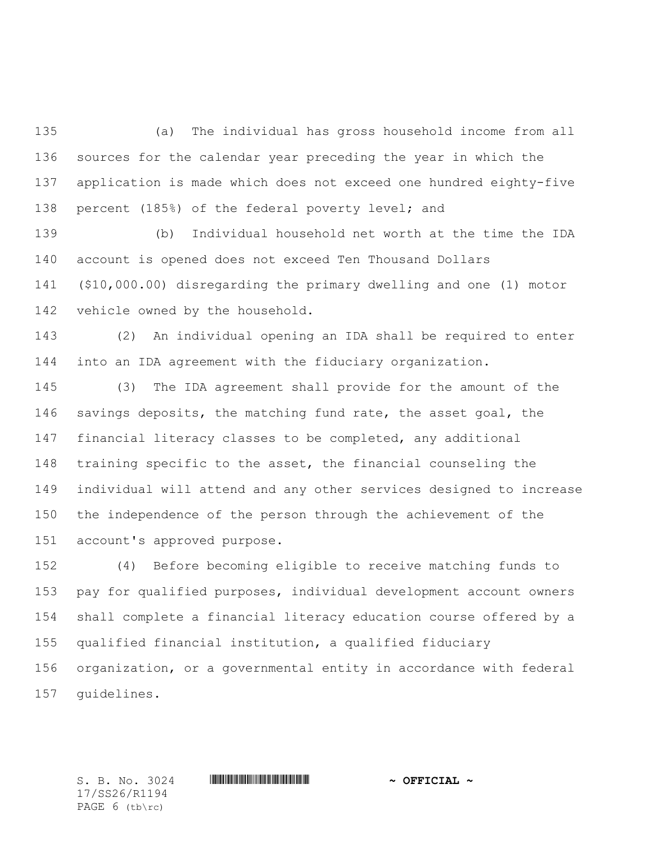(a) The individual has gross household income from all sources for the calendar year preceding the year in which the application is made which does not exceed one hundred eighty-five percent (185%) of the federal poverty level; and

 (b) Individual household net worth at the time the IDA account is opened does not exceed Ten Thousand Dollars (\$10,000.00) disregarding the primary dwelling and one (1) motor vehicle owned by the household.

 (2) An individual opening an IDA shall be required to enter into an IDA agreement with the fiduciary organization.

 (3) The IDA agreement shall provide for the amount of the 146 savings deposits, the matching fund rate, the asset goal, the financial literacy classes to be completed, any additional training specific to the asset, the financial counseling the individual will attend and any other services designed to increase the independence of the person through the achievement of the account's approved purpose.

 (4) Before becoming eligible to receive matching funds to pay for qualified purposes, individual development account owners shall complete a financial literacy education course offered by a qualified financial institution, a qualified fiduciary organization, or a governmental entity in accordance with federal guidelines.

17/SS26/R1194 PAGE 6 (tb\rc)

 $S. B. No. 3024$  **. Suppose the suppose of the set of**  $\sim$  **OFFICIAL**  $\sim$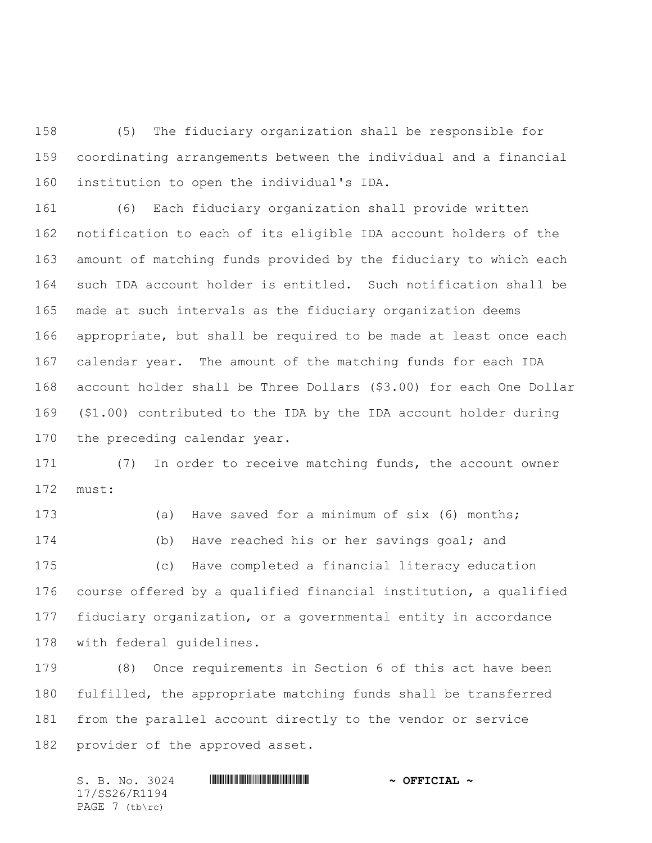(5) The fiduciary organization shall be responsible for coordinating arrangements between the individual and a financial institution to open the individual's IDA.

 (6) Each fiduciary organization shall provide written notification to each of its eligible IDA account holders of the amount of matching funds provided by the fiduciary to which each such IDA account holder is entitled. Such notification shall be made at such intervals as the fiduciary organization deems appropriate, but shall be required to be made at least once each calendar year. The amount of the matching funds for each IDA account holder shall be Three Dollars (\$3.00) for each One Dollar (\$1.00) contributed to the IDA by the IDA account holder during the preceding calendar year.

 (7) In order to receive matching funds, the account owner must:

 (a) Have saved for a minimum of six (6) months; (b) Have reached his or her savings goal; and (c) Have completed a financial literacy education course offered by a qualified financial institution, a qualified fiduciary organization, or a governmental entity in accordance with federal guidelines.

 (8) Once requirements in Section 6 of this act have been fulfilled, the appropriate matching funds shall be transferred from the parallel account directly to the vendor or service provider of the approved asset.

 $S. B. No. 3024$  **. Suppose the suppose of the set of**  $\sim$  **OFFICIAL**  $\sim$ 17/SS26/R1194 PAGE 7 (tb\rc)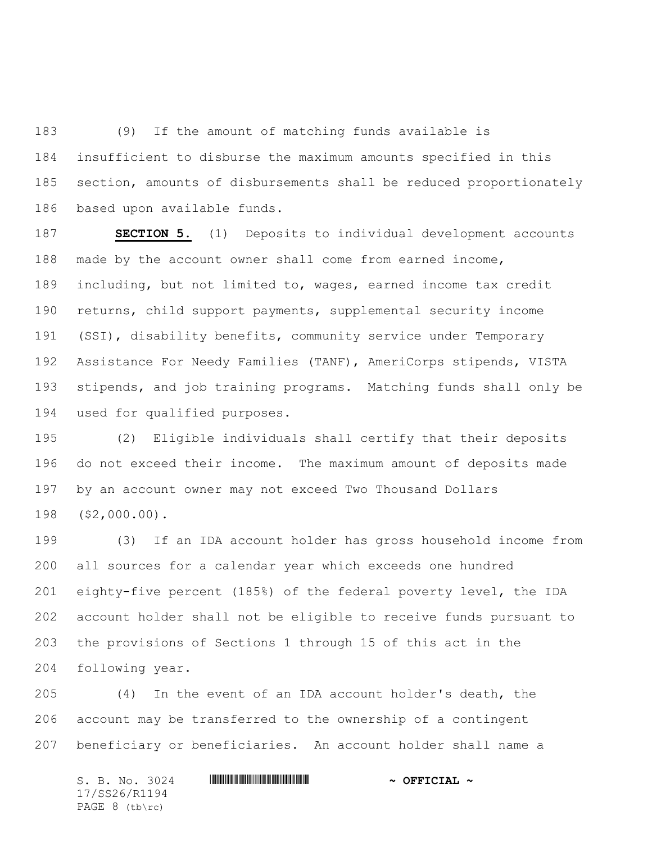(9) If the amount of matching funds available is insufficient to disburse the maximum amounts specified in this section, amounts of disbursements shall be reduced proportionately based upon available funds.

 **SECTION 5.** (1) Deposits to individual development accounts made by the account owner shall come from earned income, including, but not limited to, wages, earned income tax credit returns, child support payments, supplemental security income (SSI), disability benefits, community service under Temporary Assistance For Needy Families (TANF), AmeriCorps stipends, VISTA stipends, and job training programs. Matching funds shall only be used for qualified purposes.

 (2) Eligible individuals shall certify that their deposits do not exceed their income. The maximum amount of deposits made by an account owner may not exceed Two Thousand Dollars (\$2,000.00).

 (3) If an IDA account holder has gross household income from all sources for a calendar year which exceeds one hundred eighty-five percent (185%) of the federal poverty level, the IDA account holder shall not be eligible to receive funds pursuant to the provisions of Sections 1 through 15 of this act in the following year.

 (4) In the event of an IDA account holder's death, the account may be transferred to the ownership of a contingent beneficiary or beneficiaries. An account holder shall name a

 $S. B. No. 3024$  **. Suppose the suppose of the set of**  $\sim$  **OFFICIAL**  $\sim$ 17/SS26/R1194 PAGE 8 (tb\rc)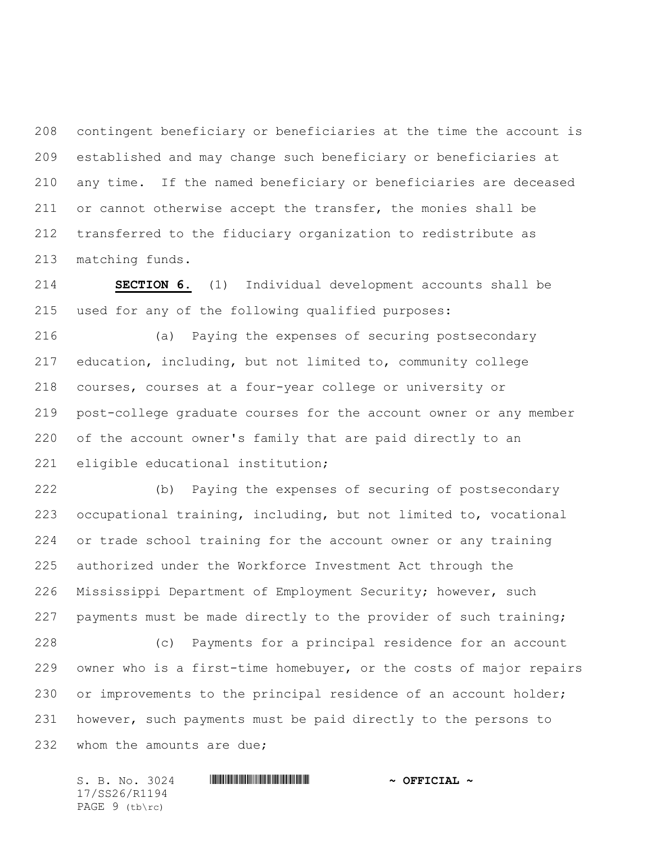contingent beneficiary or beneficiaries at the time the account is established and may change such beneficiary or beneficiaries at any time. If the named beneficiary or beneficiaries are deceased or cannot otherwise accept the transfer, the monies shall be transferred to the fiduciary organization to redistribute as matching funds.

 **SECTION 6.** (1) Individual development accounts shall be used for any of the following qualified purposes:

 (a) Paying the expenses of securing postsecondary education, including, but not limited to, community college courses, courses at a four-year college or university or post-college graduate courses for the account owner or any member of the account owner's family that are paid directly to an eligible educational institution;

 (b) Paying the expenses of securing of postsecondary occupational training, including, but not limited to, vocational or trade school training for the account owner or any training authorized under the Workforce Investment Act through the Mississippi Department of Employment Security; however, such payments must be made directly to the provider of such training; (c) Payments for a principal residence for an account

 owner who is a first-time homebuyer, or the costs of major repairs or improvements to the principal residence of an account holder; however, such payments must be paid directly to the persons to 232 whom the amounts are due;

 $S. B. No. 3024$  **. Suppose the suppose of the set of**  $\sim$  **OFFICIAL**  $\sim$ 17/SS26/R1194 PAGE 9 (tb\rc)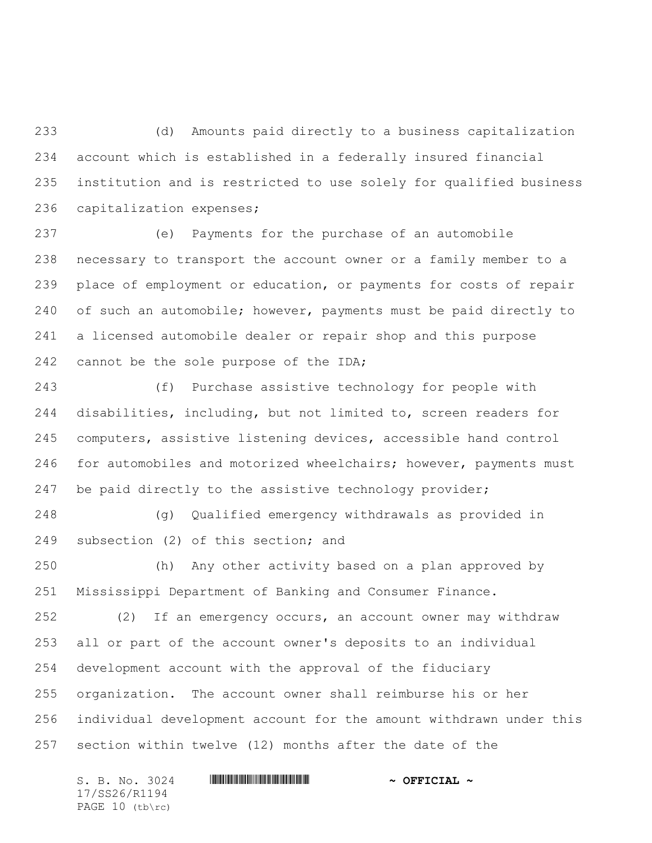(d) Amounts paid directly to a business capitalization account which is established in a federally insured financial institution and is restricted to use solely for qualified business capitalization expenses;

 (e) Payments for the purchase of an automobile necessary to transport the account owner or a family member to a place of employment or education, or payments for costs of repair of such an automobile; however, payments must be paid directly to a licensed automobile dealer or repair shop and this purpose 242 cannot be the sole purpose of the IDA;

 (f) Purchase assistive technology for people with disabilities, including, but not limited to, screen readers for computers, assistive listening devices, accessible hand control for automobiles and motorized wheelchairs; however, payments must be paid directly to the assistive technology provider;

 (g) Qualified emergency withdrawals as provided in subsection (2) of this section; and

 (h) Any other activity based on a plan approved by Mississippi Department of Banking and Consumer Finance.

 (2) If an emergency occurs, an account owner may withdraw all or part of the account owner's deposits to an individual development account with the approval of the fiduciary organization. The account owner shall reimburse his or her individual development account for the amount withdrawn under this section within twelve (12) months after the date of the

 $S. B. No. 3024$  **. Suppose the suppose of the set of**  $\sim$  **OFFICIAL**  $\sim$ 17/SS26/R1194 PAGE 10 (tb\rc)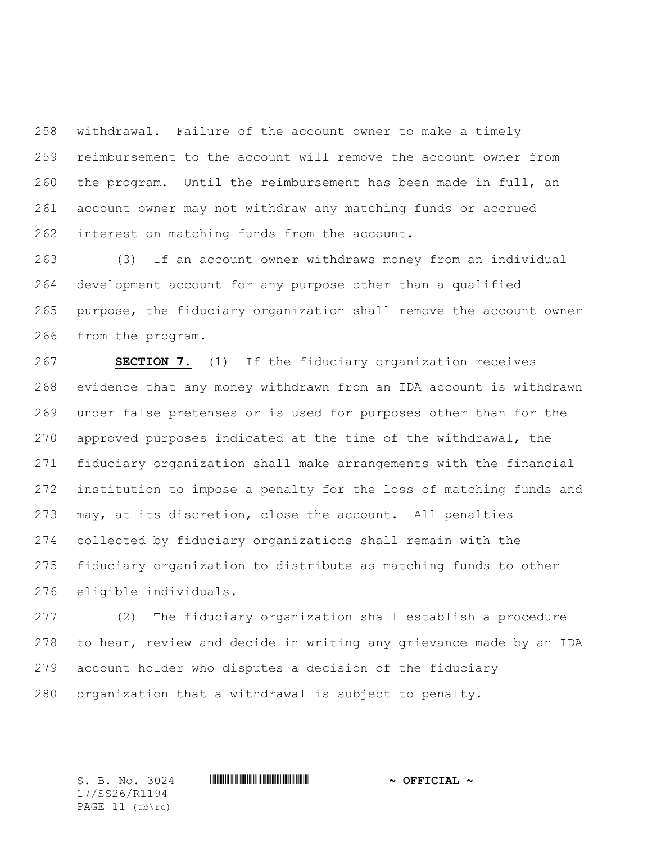withdrawal. Failure of the account owner to make a timely reimbursement to the account will remove the account owner from the program. Until the reimbursement has been made in full, an account owner may not withdraw any matching funds or accrued interest on matching funds from the account.

 (3) If an account owner withdraws money from an individual development account for any purpose other than a qualified purpose, the fiduciary organization shall remove the account owner from the program.

 **SECTION 7.** (1) If the fiduciary organization receives evidence that any money withdrawn from an IDA account is withdrawn under false pretenses or is used for purposes other than for the approved purposes indicated at the time of the withdrawal, the fiduciary organization shall make arrangements with the financial institution to impose a penalty for the loss of matching funds and may, at its discretion, close the account. All penalties collected by fiduciary organizations shall remain with the fiduciary organization to distribute as matching funds to other eligible individuals.

 (2) The fiduciary organization shall establish a procedure to hear, review and decide in writing any grievance made by an IDA account holder who disputes a decision of the fiduciary organization that a withdrawal is subject to penalty.

17/SS26/R1194 PAGE 11 (tb\rc)

## S. B. No. 3024 \*SS26/R1194\* **~ OFFICIAL ~**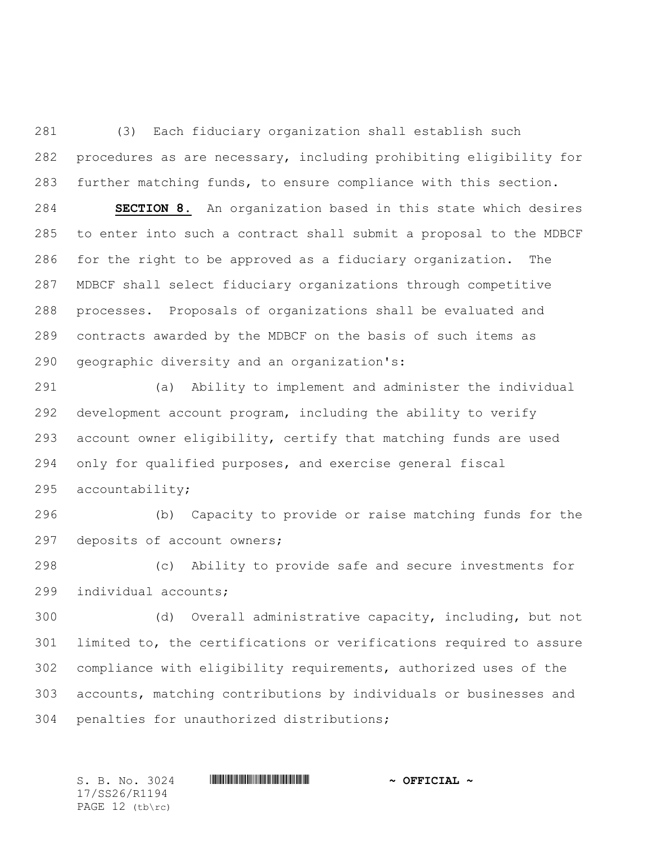(3) Each fiduciary organization shall establish such procedures as are necessary, including prohibiting eligibility for further matching funds, to ensure compliance with this section.

 **SECTION 8.** An organization based in this state which desires to enter into such a contract shall submit a proposal to the MDBCF for the right to be approved as a fiduciary organization. The MDBCF shall select fiduciary organizations through competitive processes. Proposals of organizations shall be evaluated and contracts awarded by the MDBCF on the basis of such items as geographic diversity and an organization's:

 (a) Ability to implement and administer the individual development account program, including the ability to verify account owner eligibility, certify that matching funds are used only for qualified purposes, and exercise general fiscal accountability;

 (b) Capacity to provide or raise matching funds for the deposits of account owners;

 (c) Ability to provide safe and secure investments for individual accounts;

 (d) Overall administrative capacity, including, but not limited to, the certifications or verifications required to assure compliance with eligibility requirements, authorized uses of the accounts, matching contributions by individuals or businesses and penalties for unauthorized distributions;

17/SS26/R1194 PAGE 12 (tb\rc)

 $S. B. No. 3024$  **. Suppose the suppose of the set of**  $\sim$  **OFFICIAL**  $\sim$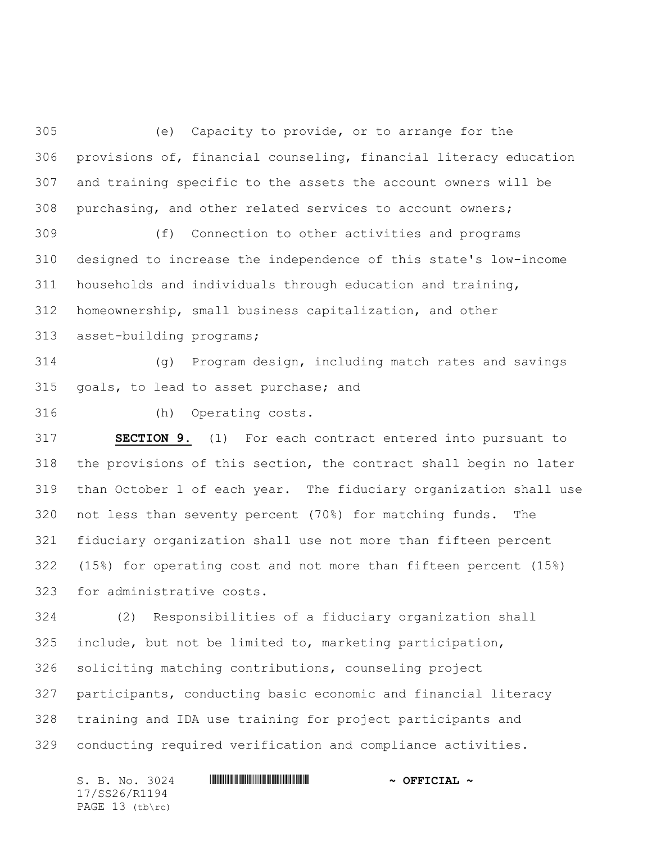(e) Capacity to provide, or to arrange for the provisions of, financial counseling, financial literacy education and training specific to the assets the account owners will be purchasing, and other related services to account owners;

 (f) Connection to other activities and programs designed to increase the independence of this state's low-income households and individuals through education and training, homeownership, small business capitalization, and other

asset-building programs;

 (g) Program design, including match rates and savings goals, to lead to asset purchase; and

(h) Operating costs.

 **SECTION 9.** (1) For each contract entered into pursuant to the provisions of this section, the contract shall begin no later than October 1 of each year. The fiduciary organization shall use not less than seventy percent (70%) for matching funds. The fiduciary organization shall use not more than fifteen percent (15%) for operating cost and not more than fifteen percent (15%) for administrative costs.

 (2) Responsibilities of a fiduciary organization shall include, but not be limited to, marketing participation, soliciting matching contributions, counseling project participants, conducting basic economic and financial literacy training and IDA use training for project participants and conducting required verification and compliance activities.

S. B. No. 3024 \*SS26/R1194\* **~ OFFICIAL ~** 17/SS26/R1194 PAGE 13 (tb\rc)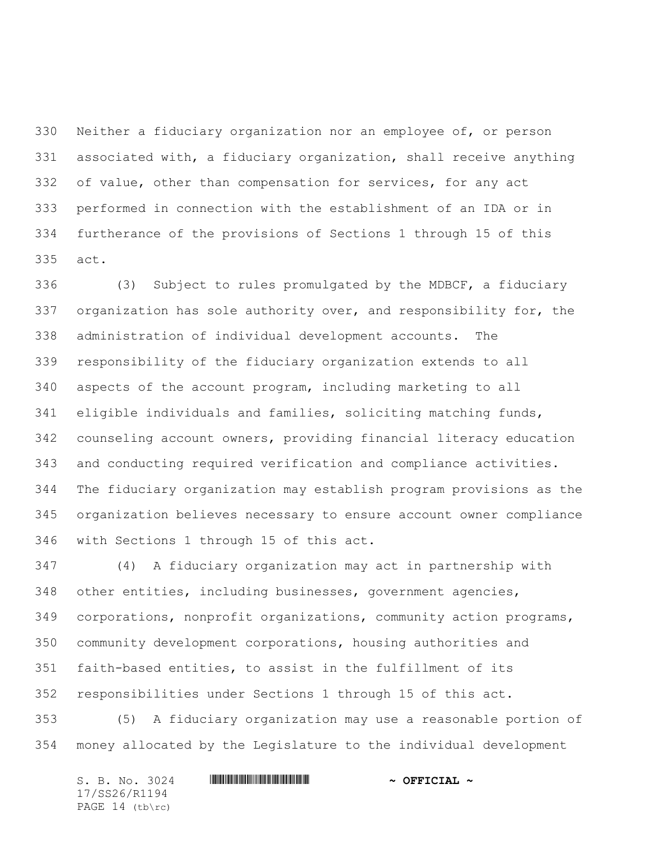Neither a fiduciary organization nor an employee of, or person associated with, a fiduciary organization, shall receive anything of value, other than compensation for services, for any act performed in connection with the establishment of an IDA or in furtherance of the provisions of Sections 1 through 15 of this act.

 (3) Subject to rules promulgated by the MDBCF, a fiduciary organization has sole authority over, and responsibility for, the administration of individual development accounts. The responsibility of the fiduciary organization extends to all aspects of the account program, including marketing to all eligible individuals and families, soliciting matching funds, counseling account owners, providing financial literacy education and conducting required verification and compliance activities. The fiduciary organization may establish program provisions as the organization believes necessary to ensure account owner compliance with Sections 1 through 15 of this act.

 (4) A fiduciary organization may act in partnership with other entities, including businesses, government agencies, corporations, nonprofit organizations, community action programs, community development corporations, housing authorities and faith-based entities, to assist in the fulfillment of its responsibilities under Sections 1 through 15 of this act.

 (5) A fiduciary organization may use a reasonable portion of money allocated by the Legislature to the individual development

| S. B. No. 3024        |  | $\sim$ OFFICIAL $\sim$ |  |
|-----------------------|--|------------------------|--|
| 17/SS26/R1194         |  |                        |  |
| PAGE $14$ (tb) $rc$ ) |  |                        |  |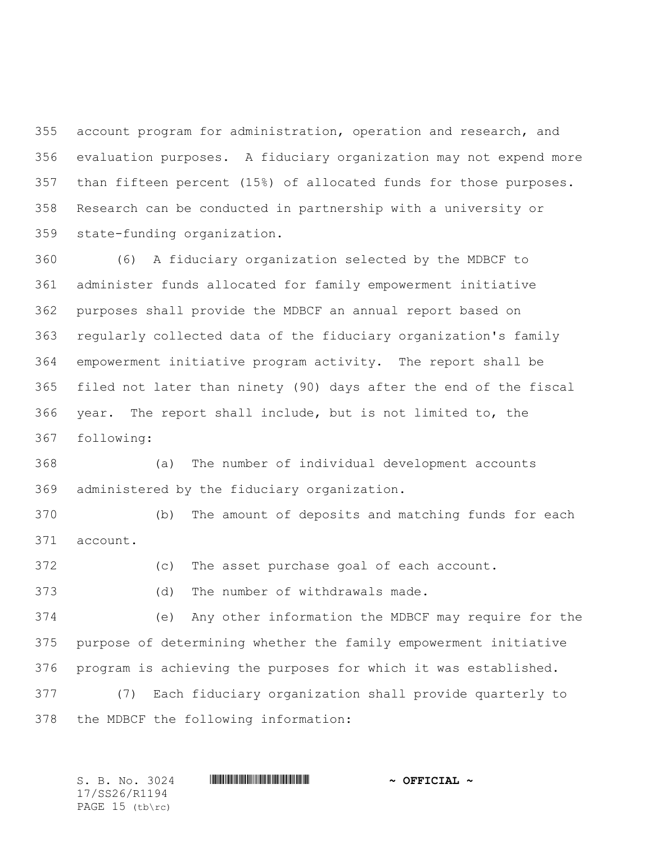account program for administration, operation and research, and evaluation purposes. A fiduciary organization may not expend more than fifteen percent (15%) of allocated funds for those purposes. Research can be conducted in partnership with a university or state-funding organization.

 (6) A fiduciary organization selected by the MDBCF to administer funds allocated for family empowerment initiative purposes shall provide the MDBCF an annual report based on regularly collected data of the fiduciary organization's family empowerment initiative program activity. The report shall be filed not later than ninety (90) days after the end of the fiscal year. The report shall include, but is not limited to, the following:

 (a) The number of individual development accounts administered by the fiduciary organization.

 (b) The amount of deposits and matching funds for each account.

(c) The asset purchase goal of each account.

(d) The number of withdrawals made.

 (e) Any other information the MDBCF may require for the purpose of determining whether the family empowerment initiative program is achieving the purposes for which it was established.

 (7) Each fiduciary organization shall provide quarterly to the MDBCF the following information:

17/SS26/R1194 PAGE 15 (tb\rc)

S. B. No. 3024 \*SS26/R1194\* **~ OFFICIAL ~**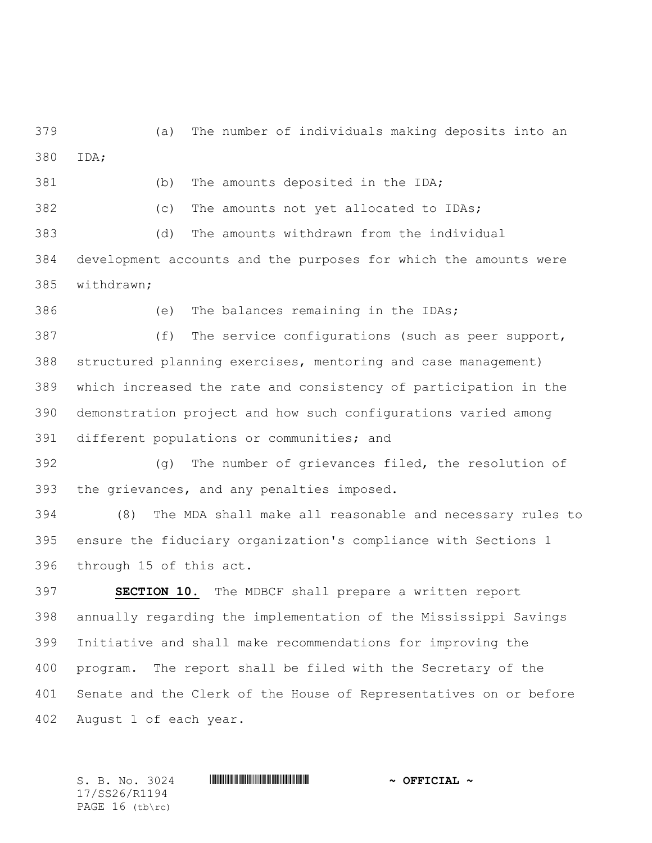(a) The number of individuals making deposits into an IDA;

(b) The amounts deposited in the IDA;

(c) The amounts not yet allocated to IDAs;

 (d) The amounts withdrawn from the individual development accounts and the purposes for which the amounts were withdrawn;

(e) The balances remaining in the IDAs;

 (f) The service configurations (such as peer support, structured planning exercises, mentoring and case management) which increased the rate and consistency of participation in the demonstration project and how such configurations varied among different populations or communities; and

 (g) The number of grievances filed, the resolution of the grievances, and any penalties imposed.

 (8) The MDA shall make all reasonable and necessary rules to ensure the fiduciary organization's compliance with Sections 1 through 15 of this act.

 **SECTION 10.** The MDBCF shall prepare a written report annually regarding the implementation of the Mississippi Savings Initiative and shall make recommendations for improving the program. The report shall be filed with the Secretary of the Senate and the Clerk of the House of Representatives on or before August 1 of each year.

17/SS26/R1194 PAGE 16 (tb\rc)

 $S. B. No. 3024$  **. Suppose the suppose of the set of**  $\sim$  **OFFICIAL**  $\sim$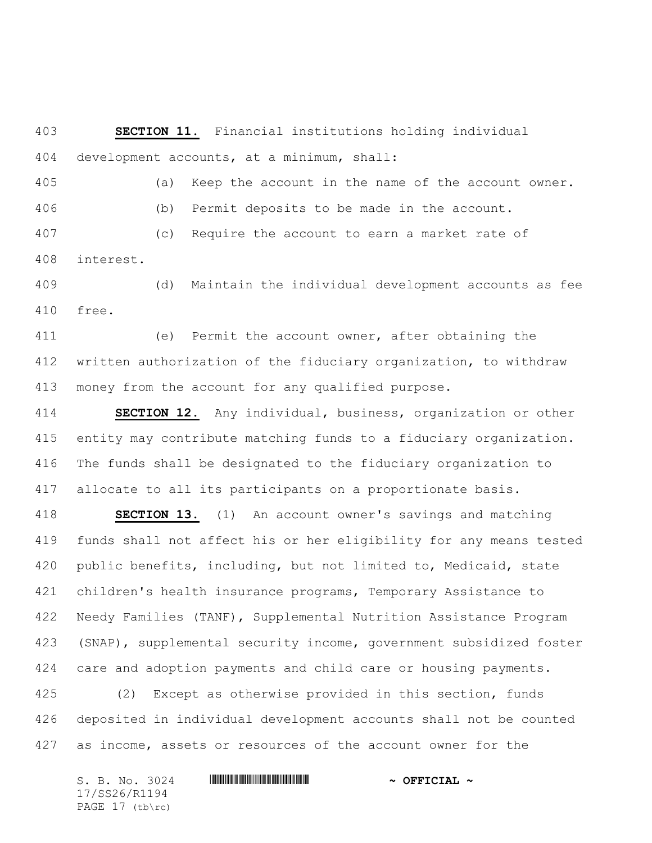**SECTION 11.** Financial institutions holding individual development accounts, at a minimum, shall:

 (a) Keep the account in the name of the account owner. (b) Permit deposits to be made in the account. (c) Require the account to earn a market rate of

interest.

 (d) Maintain the individual development accounts as fee free.

 (e) Permit the account owner, after obtaining the written authorization of the fiduciary organization, to withdraw money from the account for any qualified purpose.

 **SECTION 12.** Any individual, business, organization or other entity may contribute matching funds to a fiduciary organization. The funds shall be designated to the fiduciary organization to allocate to all its participants on a proportionate basis.

 **SECTION 13.** (1) An account owner's savings and matching funds shall not affect his or her eligibility for any means tested public benefits, including, but not limited to, Medicaid, state children's health insurance programs, Temporary Assistance to Needy Families (TANF), Supplemental Nutrition Assistance Program (SNAP), supplemental security income, government subsidized foster care and adoption payments and child care or housing payments.

 (2) Except as otherwise provided in this section, funds deposited in individual development accounts shall not be counted as income, assets or resources of the account owner for the

 $S. B. No. 3024$  **. Suppose the suppose of the set of**  $\sim$  **OFFICIAL**  $\sim$ 17/SS26/R1194 PAGE 17 (tb\rc)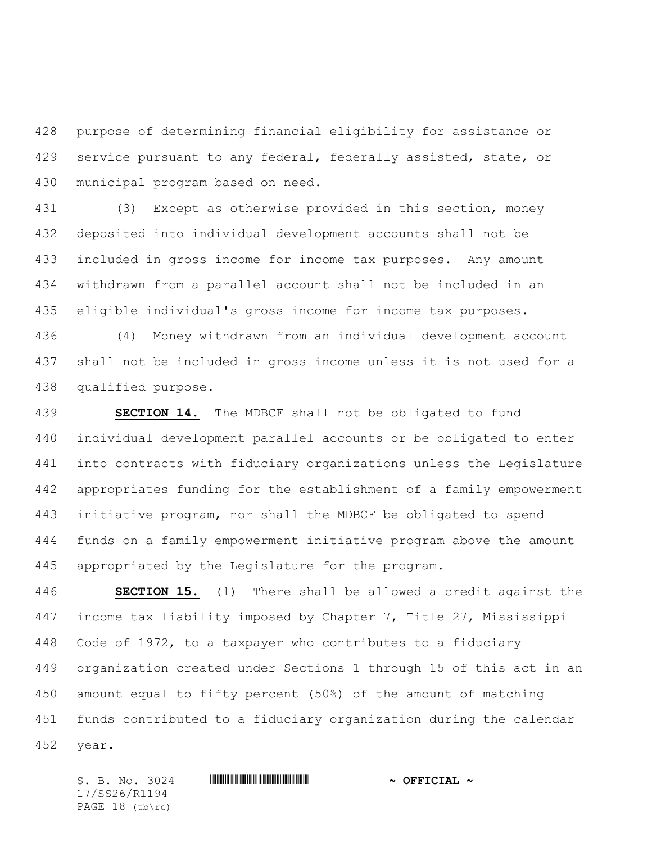purpose of determining financial eligibility for assistance or service pursuant to any federal, federally assisted, state, or municipal program based on need.

 (3) Except as otherwise provided in this section, money deposited into individual development accounts shall not be included in gross income for income tax purposes. Any amount withdrawn from a parallel account shall not be included in an eligible individual's gross income for income tax purposes.

 (4) Money withdrawn from an individual development account shall not be included in gross income unless it is not used for a qualified purpose.

 **SECTION 14.** The MDBCF shall not be obligated to fund individual development parallel accounts or be obligated to enter into contracts with fiduciary organizations unless the Legislature appropriates funding for the establishment of a family empowerment initiative program, nor shall the MDBCF be obligated to spend funds on a family empowerment initiative program above the amount appropriated by the Legislature for the program.

 **SECTION 15.** (1) There shall be allowed a credit against the income tax liability imposed by Chapter 7, Title 27, Mississippi Code of 1972, to a taxpayer who contributes to a fiduciary organization created under Sections 1 through 15 of this act in an amount equal to fifty percent (50%) of the amount of matching funds contributed to a fiduciary organization during the calendar year.

 $S. B. No. 3024$  **. Suppose the suppose of the set of**  $\sim$  **OFFICIAL**  $\sim$ 17/SS26/R1194 PAGE 18 (tb\rc)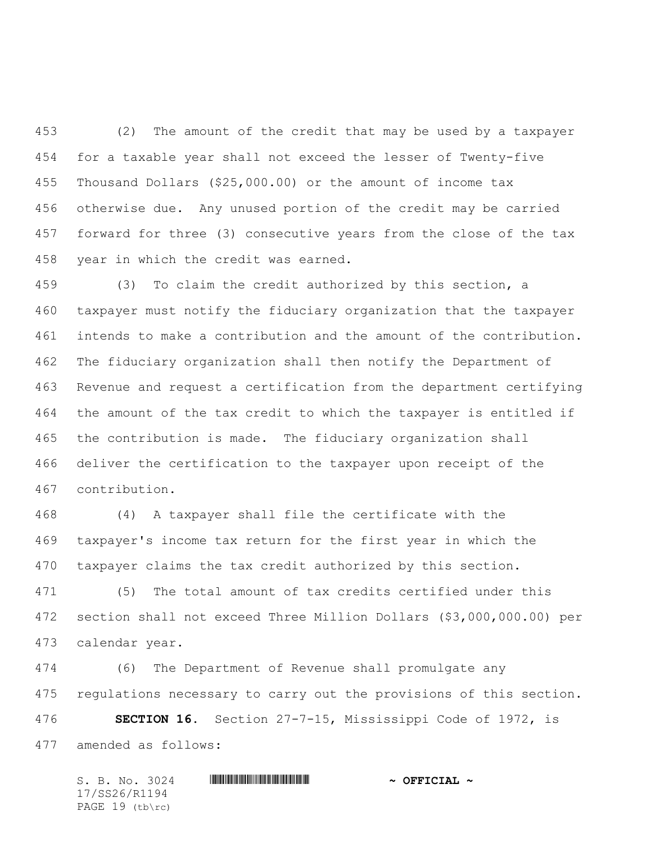(2) The amount of the credit that may be used by a taxpayer for a taxable year shall not exceed the lesser of Twenty-five Thousand Dollars (\$25,000.00) or the amount of income tax otherwise due. Any unused portion of the credit may be carried forward for three (3) consecutive years from the close of the tax year in which the credit was earned.

 (3) To claim the credit authorized by this section, a taxpayer must notify the fiduciary organization that the taxpayer intends to make a contribution and the amount of the contribution. The fiduciary organization shall then notify the Department of Revenue and request a certification from the department certifying the amount of the tax credit to which the taxpayer is entitled if the contribution is made. The fiduciary organization shall deliver the certification to the taxpayer upon receipt of the contribution.

 (4) A taxpayer shall file the certificate with the taxpayer's income tax return for the first year in which the taxpayer claims the tax credit authorized by this section.

 (5) The total amount of tax credits certified under this section shall not exceed Three Million Dollars (\$3,000,000.00) per calendar year.

 (6) The Department of Revenue shall promulgate any regulations necessary to carry out the provisions of this section.

 **SECTION 16.** Section 27-7-15, Mississippi Code of 1972, is amended as follows:

 $S. B. No. 3024$  **. Suppose the suppose of the set of**  $\sim$  **OFFICIAL**  $\sim$ 17/SS26/R1194 PAGE 19 (tb\rc)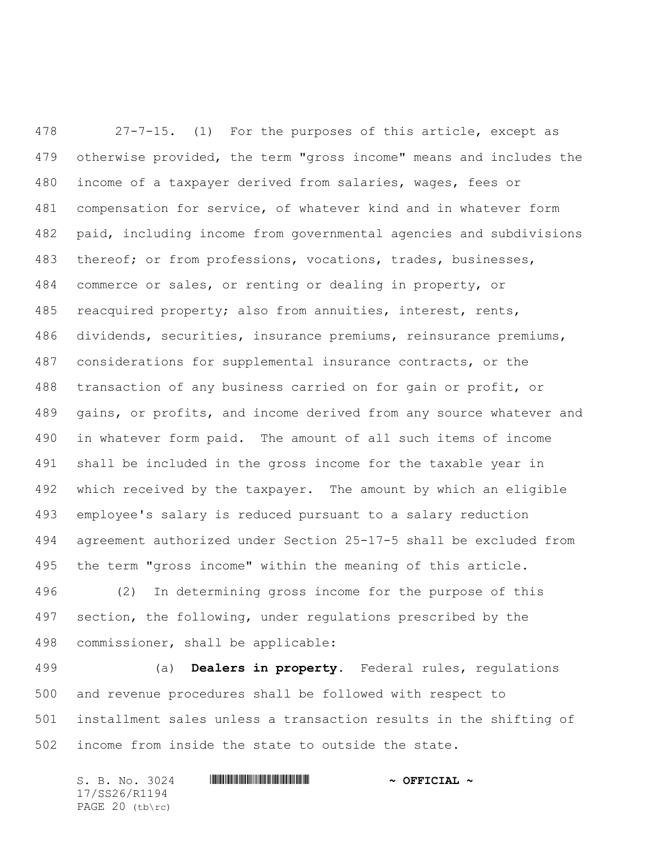27-7-15. (1) For the purposes of this article, except as otherwise provided, the term "gross income" means and includes the income of a taxpayer derived from salaries, wages, fees or compensation for service, of whatever kind and in whatever form paid, including income from governmental agencies and subdivisions thereof; or from professions, vocations, trades, businesses, commerce or sales, or renting or dealing in property, or reacquired property; also from annuities, interest, rents, dividends, securities, insurance premiums, reinsurance premiums, considerations for supplemental insurance contracts, or the transaction of any business carried on for gain or profit, or gains, or profits, and income derived from any source whatever and in whatever form paid. The amount of all such items of income shall be included in the gross income for the taxable year in which received by the taxpayer. The amount by which an eligible employee's salary is reduced pursuant to a salary reduction agreement authorized under Section 25-17-5 shall be excluded from the term "gross income" within the meaning of this article.

 (2) In determining gross income for the purpose of this section, the following, under regulations prescribed by the commissioner, shall be applicable:

 (a) **Dealers in property.** Federal rules, regulations and revenue procedures shall be followed with respect to installment sales unless a transaction results in the shifting of income from inside the state to outside the state.

 $S. B. No. 3024$  **. Suppose the suppose of the set of**  $\sim$  **OFFICIAL**  $\sim$ 17/SS26/R1194 PAGE 20 (tb\rc)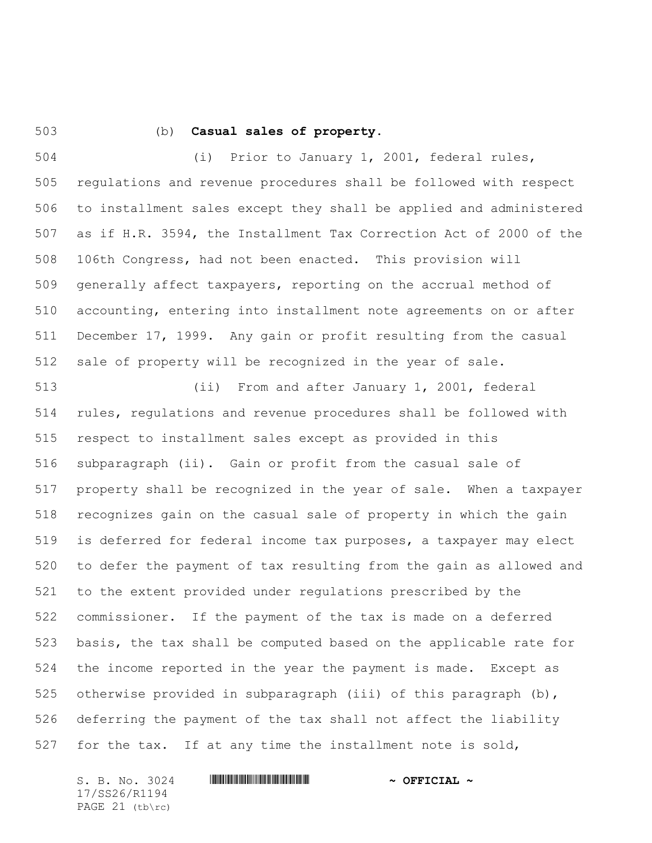## (b) **Casual sales of property.**

 (i) Prior to January 1, 2001, federal rules, regulations and revenue procedures shall be followed with respect to installment sales except they shall be applied and administered as if H.R. 3594, the Installment Tax Correction Act of 2000 of the 106th Congress, had not been enacted. This provision will generally affect taxpayers, reporting on the accrual method of accounting, entering into installment note agreements on or after December 17, 1999. Any gain or profit resulting from the casual sale of property will be recognized in the year of sale.

 (ii) From and after January 1, 2001, federal rules, regulations and revenue procedures shall be followed with respect to installment sales except as provided in this subparagraph (ii). Gain or profit from the casual sale of property shall be recognized in the year of sale. When a taxpayer recognizes gain on the casual sale of property in which the gain is deferred for federal income tax purposes, a taxpayer may elect to defer the payment of tax resulting from the gain as allowed and to the extent provided under regulations prescribed by the commissioner. If the payment of the tax is made on a deferred basis, the tax shall be computed based on the applicable rate for the income reported in the year the payment is made. Except as otherwise provided in subparagraph (iii) of this paragraph (b), deferring the payment of the tax shall not affect the liability for the tax. If at any time the installment note is sold,

S. B. No. 3024 \*SS26/R1194\* **~ OFFICIAL ~** 17/SS26/R1194 PAGE (tb\rc)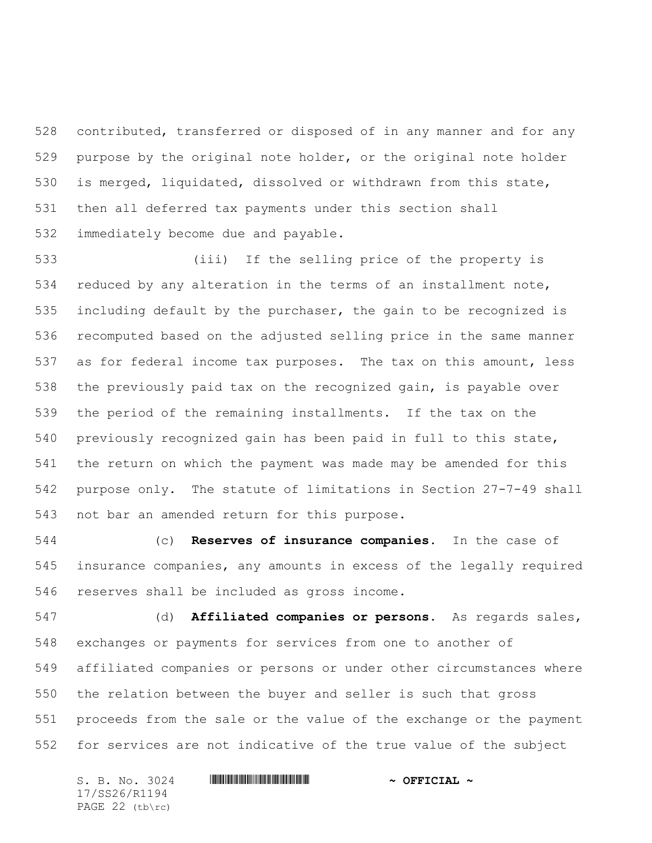contributed, transferred or disposed of in any manner and for any purpose by the original note holder, or the original note holder is merged, liquidated, dissolved or withdrawn from this state, then all deferred tax payments under this section shall immediately become due and payable.

 (iii) If the selling price of the property is reduced by any alteration in the terms of an installment note, including default by the purchaser, the gain to be recognized is recomputed based on the adjusted selling price in the same manner as for federal income tax purposes. The tax on this amount, less the previously paid tax on the recognized gain, is payable over the period of the remaining installments. If the tax on the previously recognized gain has been paid in full to this state, the return on which the payment was made may be amended for this purpose only. The statute of limitations in Section 27-7-49 shall not bar an amended return for this purpose.

 (c) **Reserves of insurance companies.** In the case of insurance companies, any amounts in excess of the legally required reserves shall be included as gross income.

 (d) **Affiliated companies or persons.** As regards sales, exchanges or payments for services from one to another of affiliated companies or persons or under other circumstances where the relation between the buyer and seller is such that gross proceeds from the sale or the value of the exchange or the payment for services are not indicative of the true value of the subject

S. B. No. 3024 \*SS26/R1194\* **~ OFFICIAL ~** 17/SS26/R1194 PAGE 22 (tb\rc)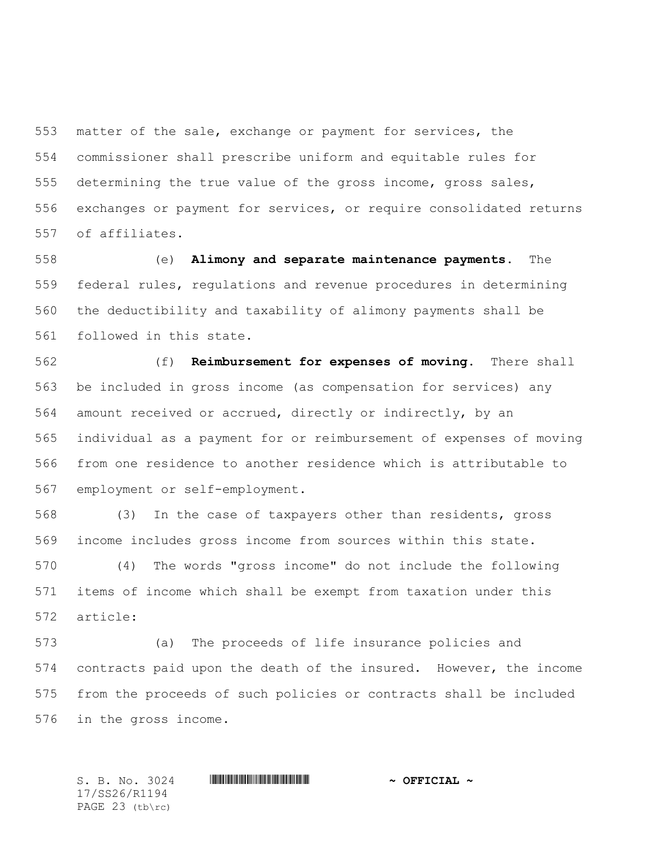matter of the sale, exchange or payment for services, the commissioner shall prescribe uniform and equitable rules for determining the true value of the gross income, gross sales, exchanges or payment for services, or require consolidated returns of affiliates.

 (e) **Alimony and separate maintenance payments.** The federal rules, regulations and revenue procedures in determining the deductibility and taxability of alimony payments shall be followed in this state.

 (f) **Reimbursement for expenses of moving.** There shall be included in gross income (as compensation for services) any amount received or accrued, directly or indirectly, by an individual as a payment for or reimbursement of expenses of moving from one residence to another residence which is attributable to employment or self-employment.

 (3) In the case of taxpayers other than residents, gross income includes gross income from sources within this state.

 (4) The words "gross income" do not include the following items of income which shall be exempt from taxation under this article:

 (a) The proceeds of life insurance policies and contracts paid upon the death of the insured. However, the income from the proceeds of such policies or contracts shall be included in the gross income.

S. B. No. 3024 \*SS26/R1194\* **~ OFFICIAL ~** 17/SS26/R1194 PAGE 23 (tb\rc)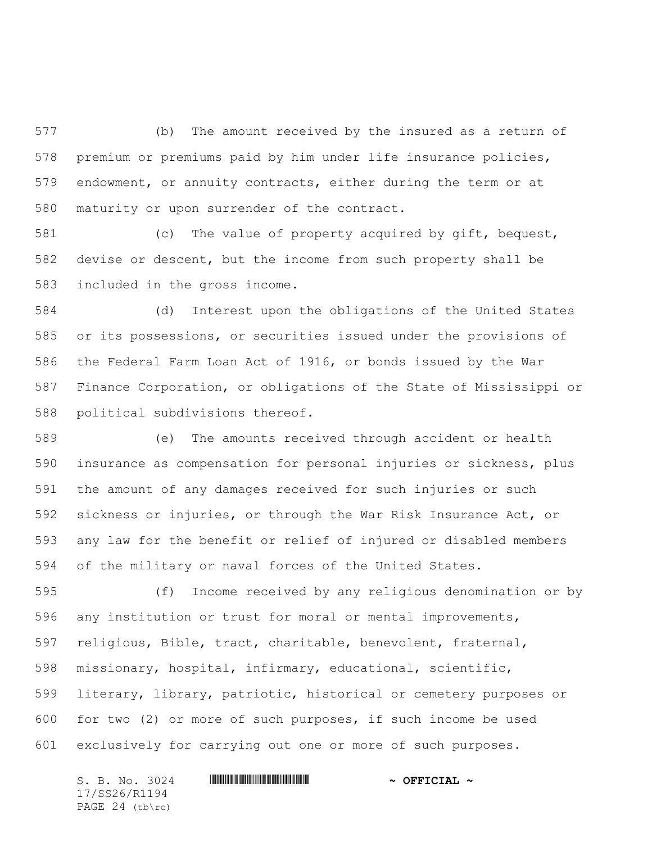(b) The amount received by the insured as a return of premium or premiums paid by him under life insurance policies, endowment, or annuity contracts, either during the term or at maturity or upon surrender of the contract.

 (c) The value of property acquired by gift, bequest, devise or descent, but the income from such property shall be included in the gross income.

 (d) Interest upon the obligations of the United States or its possessions, or securities issued under the provisions of the Federal Farm Loan Act of 1916, or bonds issued by the War Finance Corporation, or obligations of the State of Mississippi or political subdivisions thereof.

 (e) The amounts received through accident or health insurance as compensation for personal injuries or sickness, plus the amount of any damages received for such injuries or such sickness or injuries, or through the War Risk Insurance Act, or any law for the benefit or relief of injured or disabled members of the military or naval forces of the United States.

 (f) Income received by any religious denomination or by any institution or trust for moral or mental improvements, religious, Bible, tract, charitable, benevolent, fraternal, missionary, hospital, infirmary, educational, scientific, literary, library, patriotic, historical or cemetery purposes or for two (2) or more of such purposes, if such income be used exclusively for carrying out one or more of such purposes.

 $S. B. No. 3024$  **. Suppose the suppose of the set of**  $\sim$  **OFFICIAL**  $\sim$ 17/SS26/R1194 PAGE 24 (tb\rc)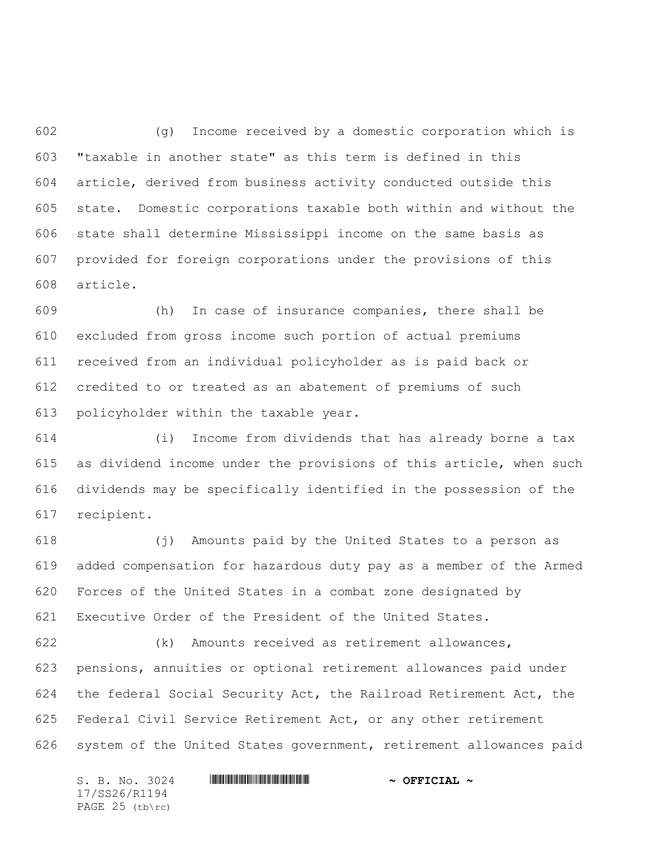(g) Income received by a domestic corporation which is "taxable in another state" as this term is defined in this article, derived from business activity conducted outside this state. Domestic corporations taxable both within and without the state shall determine Mississippi income on the same basis as provided for foreign corporations under the provisions of this article.

 (h) In case of insurance companies, there shall be excluded from gross income such portion of actual premiums received from an individual policyholder as is paid back or credited to or treated as an abatement of premiums of such policyholder within the taxable year.

 (i) Income from dividends that has already borne a tax as dividend income under the provisions of this article, when such dividends may be specifically identified in the possession of the recipient.

 (j) Amounts paid by the United States to a person as added compensation for hazardous duty pay as a member of the Armed Forces of the United States in a combat zone designated by Executive Order of the President of the United States.

 (k) Amounts received as retirement allowances, pensions, annuities or optional retirement allowances paid under the federal Social Security Act, the Railroad Retirement Act, the Federal Civil Service Retirement Act, or any other retirement system of the United States government, retirement allowances paid

 $S. B. No. 3024$  **. Suppose the suppose of the set of**  $\sim$  **OFFICIAL**  $\sim$ 17/SS26/R1194 PAGE 25 (tb\rc)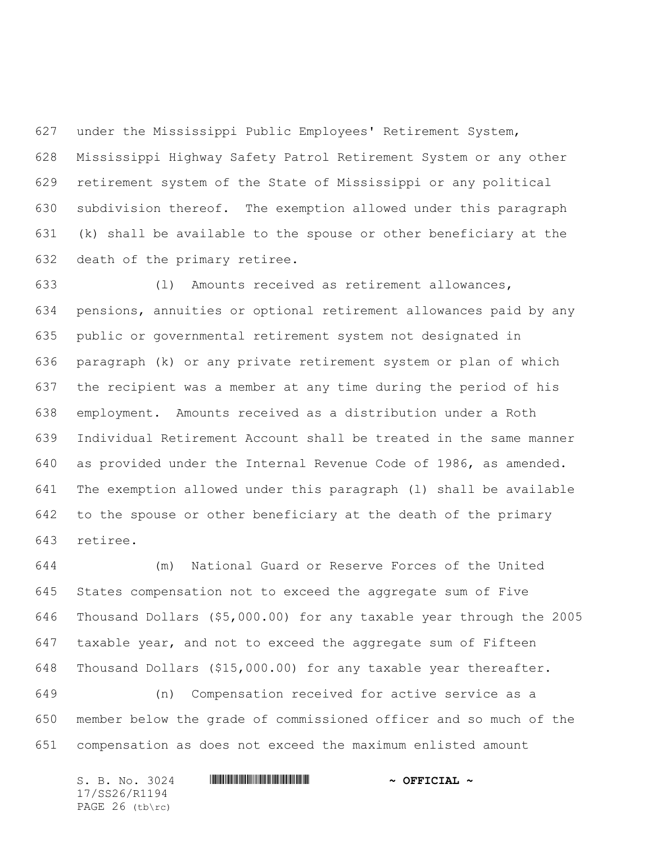under the Mississippi Public Employees' Retirement System, Mississippi Highway Safety Patrol Retirement System or any other retirement system of the State of Mississippi or any political subdivision thereof. The exemption allowed under this paragraph (k) shall be available to the spouse or other beneficiary at the death of the primary retiree.

 (l) Amounts received as retirement allowances, pensions, annuities or optional retirement allowances paid by any public or governmental retirement system not designated in paragraph (k) or any private retirement system or plan of which the recipient was a member at any time during the period of his employment. Amounts received as a distribution under a Roth Individual Retirement Account shall be treated in the same manner as provided under the Internal Revenue Code of 1986, as amended. The exemption allowed under this paragraph (l) shall be available to the spouse or other beneficiary at the death of the primary retiree.

 (m) National Guard or Reserve Forces of the United States compensation not to exceed the aggregate sum of Five Thousand Dollars (\$5,000.00) for any taxable year through the 2005 taxable year, and not to exceed the aggregate sum of Fifteen Thousand Dollars (\$15,000.00) for any taxable year thereafter.

 (n) Compensation received for active service as a member below the grade of commissioned officer and so much of the compensation as does not exceed the maximum enlisted amount

| S. B. No. 3024  | $\sim$ OFFICIAL $\sim$ |
|-----------------|------------------------|
| 17/SS26/R1194   |                        |
| PAGE 26 (tb\rc) |                        |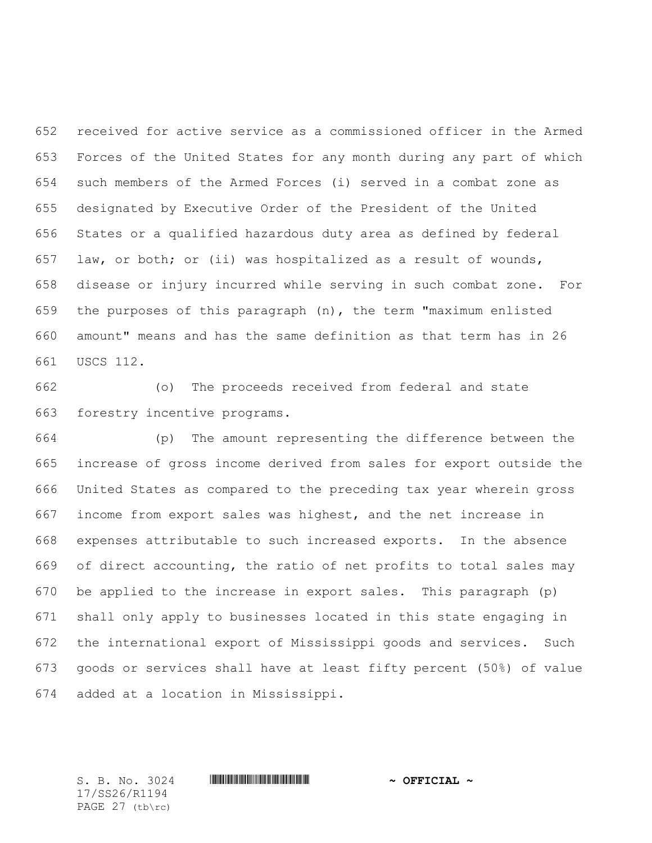received for active service as a commissioned officer in the Armed Forces of the United States for any month during any part of which such members of the Armed Forces (i) served in a combat zone as designated by Executive Order of the President of the United States or a qualified hazardous duty area as defined by federal law, or both; or (ii) was hospitalized as a result of wounds, disease or injury incurred while serving in such combat zone. For the purposes of this paragraph (n), the term "maximum enlisted amount" means and has the same definition as that term has in 26 USCS 112.

 (o) The proceeds received from federal and state forestry incentive programs.

 (p) The amount representing the difference between the increase of gross income derived from sales for export outside the United States as compared to the preceding tax year wherein gross income from export sales was highest, and the net increase in expenses attributable to such increased exports. In the absence of direct accounting, the ratio of net profits to total sales may be applied to the increase in export sales. This paragraph (p) shall only apply to businesses located in this state engaging in the international export of Mississippi goods and services. Such goods or services shall have at least fifty percent (50%) of value added at a location in Mississippi.

17/SS26/R1194 PAGE 27 (tb\rc)

S. B. No. 3024 \*SS26/R1194\* **~ OFFICIAL ~**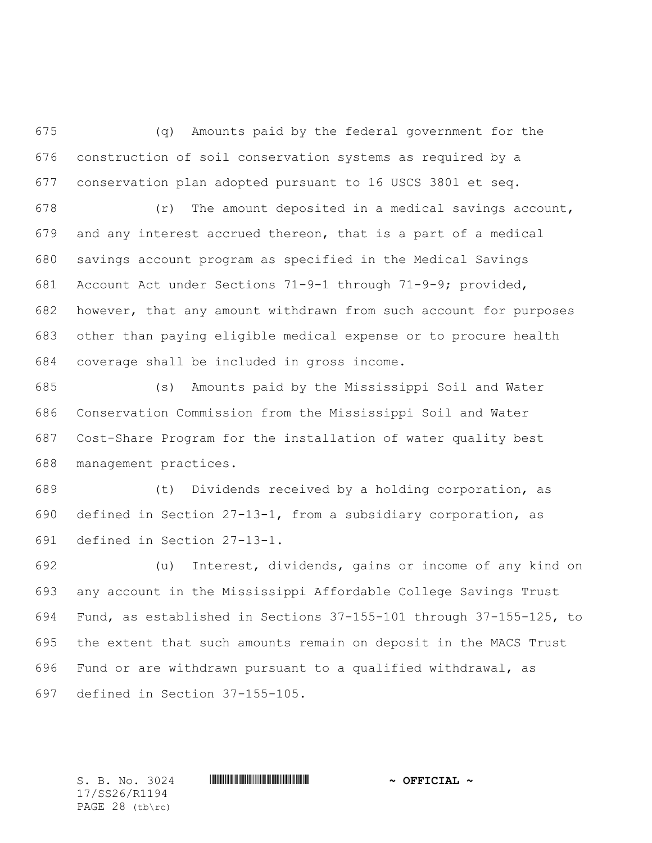(q) Amounts paid by the federal government for the construction of soil conservation systems as required by a conservation plan adopted pursuant to 16 USCS 3801 et seq.

 (r) The amount deposited in a medical savings account, and any interest accrued thereon, that is a part of a medical savings account program as specified in the Medical Savings Account Act under Sections 71-9-1 through 71-9-9; provided, however, that any amount withdrawn from such account for purposes other than paying eligible medical expense or to procure health coverage shall be included in gross income.

 (s) Amounts paid by the Mississippi Soil and Water Conservation Commission from the Mississippi Soil and Water Cost-Share Program for the installation of water quality best management practices.

 (t) Dividends received by a holding corporation, as defined in Section 27-13-1, from a subsidiary corporation, as defined in Section 27-13-1.

 (u) Interest, dividends, gains or income of any kind on any account in the Mississippi Affordable College Savings Trust Fund, as established in Sections 37-155-101 through 37-155-125, to the extent that such amounts remain on deposit in the MACS Trust Fund or are withdrawn pursuant to a qualified withdrawal, as defined in Section 37-155-105.

17/SS26/R1194 PAGE 28 (tb\rc)

## $S. B. No. 3024$  **. Suppose the suppose of the set of**  $\sim$  **OFFICIAL**  $\sim$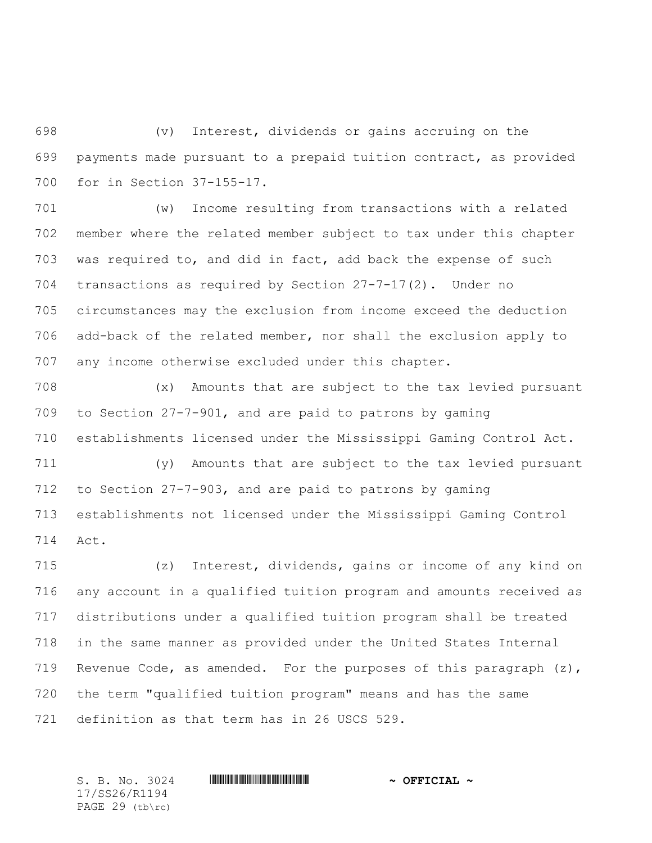(v) Interest, dividends or gains accruing on the payments made pursuant to a prepaid tuition contract, as provided for in Section 37-155-17.

 (w) Income resulting from transactions with a related member where the related member subject to tax under this chapter was required to, and did in fact, add back the expense of such transactions as required by Section 27-7-17(2). Under no circumstances may the exclusion from income exceed the deduction add-back of the related member, nor shall the exclusion apply to any income otherwise excluded under this chapter.

 (x) Amounts that are subject to the tax levied pursuant to Section 27-7-901, and are paid to patrons by gaming establishments licensed under the Mississippi Gaming Control Act.

 (y) Amounts that are subject to the tax levied pursuant to Section 27-7-903, and are paid to patrons by gaming establishments not licensed under the Mississippi Gaming Control Act.

 (z) Interest, dividends, gains or income of any kind on any account in a qualified tuition program and amounts received as distributions under a qualified tuition program shall be treated in the same manner as provided under the United States Internal 719 Revenue Code, as amended. For the purposes of this paragraph  $(z)$ , the term "qualified tuition program" means and has the same definition as that term has in 26 USCS 529.

S. B. No. 3024 \*SS26/R1194\* **~ OFFICIAL ~** 17/SS26/R1194 PAGE 29 (tb\rc)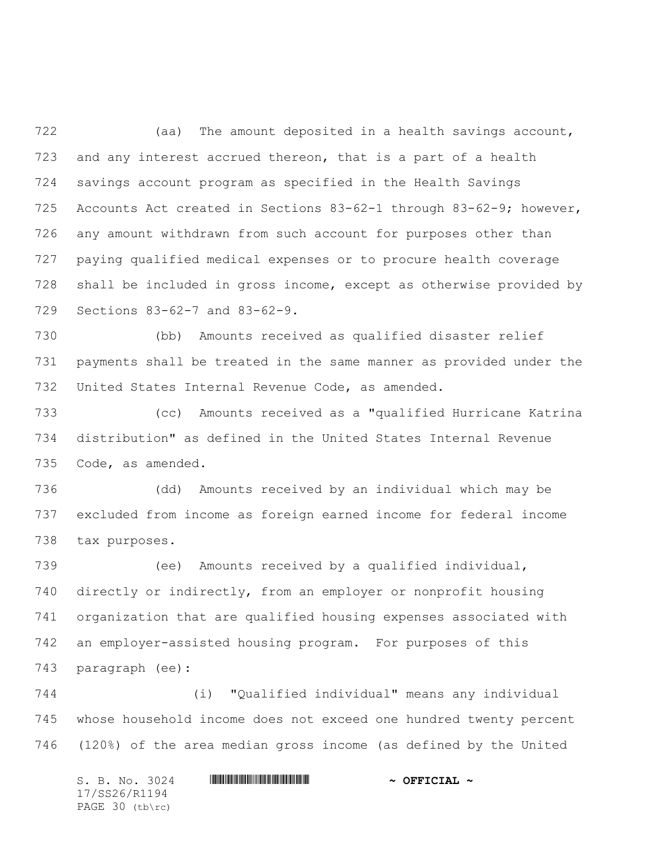(aa) The amount deposited in a health savings account, and any interest accrued thereon, that is a part of a health savings account program as specified in the Health Savings Accounts Act created in Sections 83-62-1 through 83-62-9; however, any amount withdrawn from such account for purposes other than paying qualified medical expenses or to procure health coverage shall be included in gross income, except as otherwise provided by Sections 83-62-7 and 83-62-9.

 (bb) Amounts received as qualified disaster relief payments shall be treated in the same manner as provided under the United States Internal Revenue Code, as amended.

 (cc) Amounts received as a "qualified Hurricane Katrina distribution" as defined in the United States Internal Revenue Code, as amended.

 (dd) Amounts received by an individual which may be excluded from income as foreign earned income for federal income tax purposes.

 (ee) Amounts received by a qualified individual, directly or indirectly, from an employer or nonprofit housing organization that are qualified housing expenses associated with an employer-assisted housing program. For purposes of this paragraph (ee):

 (i) "Qualified individual" means any individual whose household income does not exceed one hundred twenty percent (120%) of the area median gross income (as defined by the United

 $S. B. No. 3024$  **. Suppose the suppose of the set of**  $\sim$  **OFFICIAL**  $\sim$ 17/SS26/R1194 PAGE 30 (tb\rc)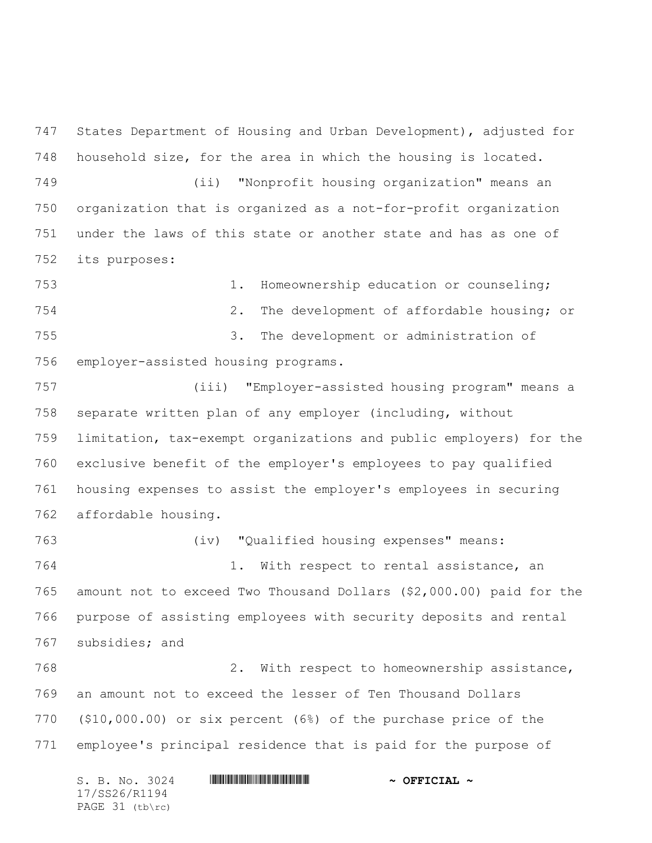States Department of Housing and Urban Development), adjusted for household size, for the area in which the housing is located.

 (ii) "Nonprofit housing organization" means an organization that is organized as a not-for-profit organization under the laws of this state or another state and has as one of its purposes:

 1. Homeownership education or counseling; 2. The development of affordable housing; or 3. The development or administration of employer-assisted housing programs.

 (iii) "Employer-assisted housing program" means a separate written plan of any employer (including, without limitation, tax-exempt organizations and public employers) for the exclusive benefit of the employer's employees to pay qualified housing expenses to assist the employer's employees in securing affordable housing.

 (iv) "Qualified housing expenses" means: 1. With respect to rental assistance, an amount not to exceed Two Thousand Dollars (\$2,000.00) paid for the purpose of assisting employees with security deposits and rental subsidies; and

 2. With respect to homeownership assistance, an amount not to exceed the lesser of Ten Thousand Dollars (\$10,000.00) or six percent (6%) of the purchase price of the employee's principal residence that is paid for the purpose of

S. B. No. 3024 \*SS26/R1194\* **~ OFFICIAL ~** 17/SS26/R1194 PAGE 31 (tb\rc)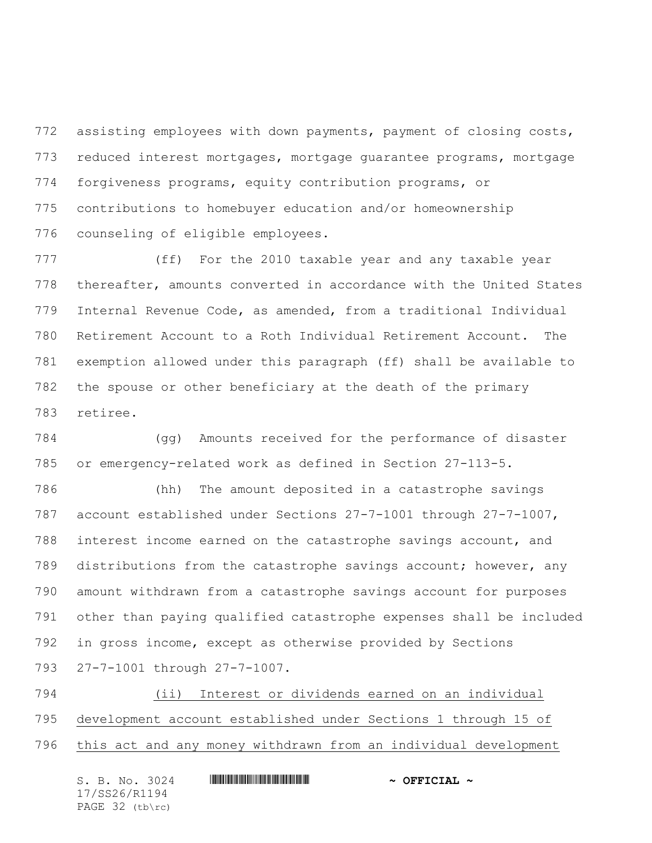772 assisting employees with down payments, payment of closing costs, reduced interest mortgages, mortgage guarantee programs, mortgage forgiveness programs, equity contribution programs, or contributions to homebuyer education and/or homeownership counseling of eligible employees.

 (ff) For the 2010 taxable year and any taxable year thereafter, amounts converted in accordance with the United States Internal Revenue Code, as amended, from a traditional Individual Retirement Account to a Roth Individual Retirement Account. The exemption allowed under this paragraph (ff) shall be available to the spouse or other beneficiary at the death of the primary retiree.

 (gg) Amounts received for the performance of disaster or emergency-related work as defined in Section 27-113-5.

 (hh) The amount deposited in a catastrophe savings account established under Sections 27-7-1001 through 27-7-1007, interest income earned on the catastrophe savings account, and distributions from the catastrophe savings account; however, any amount withdrawn from a catastrophe savings account for purposes other than paying qualified catastrophe expenses shall be included in gross income, except as otherwise provided by Sections 27-7-1001 through 27-7-1007.

 (ii) Interest or dividends earned on an individual development account established under Sections 1 through 15 of this act and any money withdrawn from an individual development

| S. B. No. 3024    | $\sim$ OFFICIAL $\sim$ |
|-------------------|------------------------|
| 17/SS26/R1194     |                        |
| PAGE $32$ (tb\rc) |                        |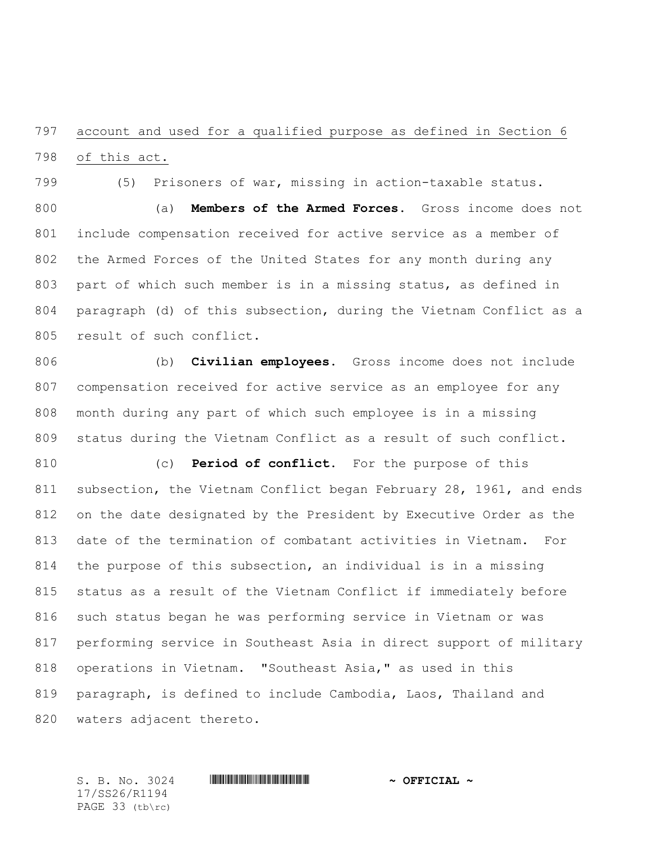## account and used for a qualified purpose as defined in Section 6

of this act.

(5) Prisoners of war, missing in action-taxable status.

 (a) **Members of the Armed Forces.** Gross income does not include compensation received for active service as a member of the Armed Forces of the United States for any month during any part of which such member is in a missing status, as defined in paragraph (d) of this subsection, during the Vietnam Conflict as a result of such conflict.

 (b) **Civilian employees.** Gross income does not include compensation received for active service as an employee for any month during any part of which such employee is in a missing status during the Vietnam Conflict as a result of such conflict.

 (c) **Period of conflict.** For the purpose of this subsection, the Vietnam Conflict began February 28, 1961, and ends on the date designated by the President by Executive Order as the date of the termination of combatant activities in Vietnam. For the purpose of this subsection, an individual is in a missing status as a result of the Vietnam Conflict if immediately before such status began he was performing service in Vietnam or was performing service in Southeast Asia in direct support of military operations in Vietnam. "Southeast Asia," as used in this paragraph, is defined to include Cambodia, Laos, Thailand and waters adjacent thereto.

17/SS26/R1194 PAGE 33 (tb\rc)

S. B. No. 3024 \*SS26/R1194\* **~ OFFICIAL ~**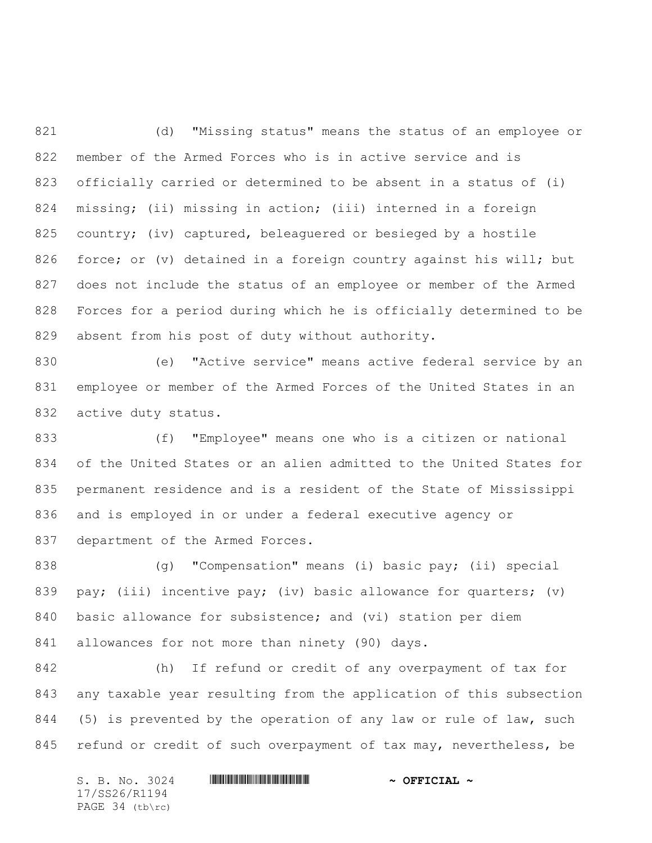(d) "Missing status" means the status of an employee or member of the Armed Forces who is in active service and is officially carried or determined to be absent in a status of (i) missing; (ii) missing in action; (iii) interned in a foreign 825 country; (iv) captured, beleaguered or besieged by a hostile force; or (v) detained in a foreign country against his will; but does not include the status of an employee or member of the Armed Forces for a period during which he is officially determined to be absent from his post of duty without authority.

 (e) "Active service" means active federal service by an employee or member of the Armed Forces of the United States in an active duty status.

 (f) "Employee" means one who is a citizen or national of the United States or an alien admitted to the United States for permanent residence and is a resident of the State of Mississippi and is employed in or under a federal executive agency or department of the Armed Forces.

838 (g) "Compensation" means (i) basic pay; (ii) special 839 pay; (iii) incentive pay; (iv) basic allowance for quarters; (v) basic allowance for subsistence; and (vi) station per diem allowances for not more than ninety (90) days.

 (h) If refund or credit of any overpayment of tax for any taxable year resulting from the application of this subsection 844 (5) is prevented by the operation of any law or rule of law, such 845 refund or credit of such overpayment of tax may, nevertheless, be

 $S. B. No. 3024$  **. Suppose the suppose of the set of**  $\sim$  **OFFICIAL**  $\sim$ 17/SS26/R1194 PAGE 34 (tb\rc)